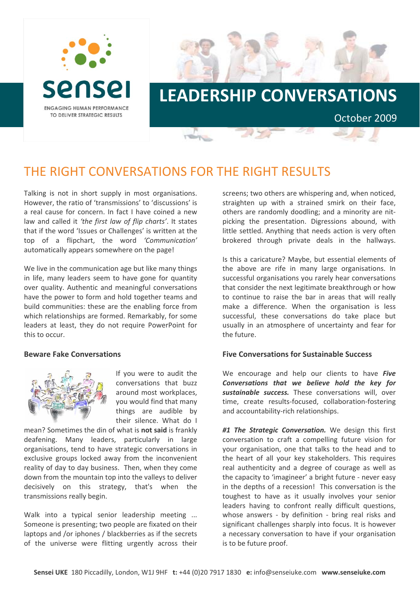



## THE RIGHT CONVERSATIONS FOR THE RIGHT RESULTS

Talking is not in short supply in most organisations. However, the ratio of 'transmissions' to 'discussions' is a real cause for concern. In fact I have coined a new law and called it *'the first law of flip charts'*. It states that if the word 'Issues or Challenges' is written at the top of a flipchart, the word *'Communication'* automatically appears somewhere on the page!

We live in the communication age but like many things in life, many leaders seem to have gone for quantity over quality. Authentic and meaningful conversations have the power to form and hold together teams and build communities: these are the enabling force from which relationships are formed. Remarkably, for some leaders at least, they do not require PowerPoint for this to occur.

## **Beware Fake Conversations**



If you were to audit the conversations that buzz around most workplaces, you would find that many things are audible by their silence. What do I

mean? Sometimes the din of what is **not said** is frankly deafening. Many leaders, particularly in large organisations, tend to have strategic conversations in exclusive groups locked away from the inconvenient reality of day to day business. Then, when they come down from the mountain top into the valleys to deliver decisively on this strategy, that's when the transmissions really begin.

Walk into a typical senior leadership meeting ... Someone is presenting; two people are fixated on their laptops and /or iphones / blackberries as if the secrets of the universe were flitting urgently across their screens; two others are whispering and, when noticed, straighten up with a strained smirk on their face, others are randomly doodling; and a minority are nit‐ picking the presentation. Digressions abound, with little settled. Anything that needs action is very often brokered through private deals in the hallways.

Is this a caricature? Maybe, but essential elements of the above are rife in many large organisations. In successful organisations you rarely hear conversations that consider the next legitimate breakthrough or how to continue to raise the bar in areas that will really make a difference. When the organisation is less successful, these conversations do take place but usually in an atmosphere of uncertainty and fear for the future.

## **Five Conversations for Sustainable Success**

We encourage and help our clients to have *Five Conversations that we believe hold the key for sustainable success.* These conversations will, over time, create results‐focused, collaboration‐fostering and accountability‐rich relationships.

*#1 The Strategic Conversation.* We design this first conversation to craft a compelling future vision for your organisation, one that talks to the head and to the heart of all your key stakeholders. This requires real authenticity and a degree of courage as well as the capacity to 'imagineer' a bright future ‐ never easy in the depths of a recession! This conversation is the toughest to have as it usually involves your senior leaders having to confront really difficult questions, whose answers - by definition - bring real risks and significant challenges sharply into focus. It is however a necessary conversation to have if your organisation is to be future proof.